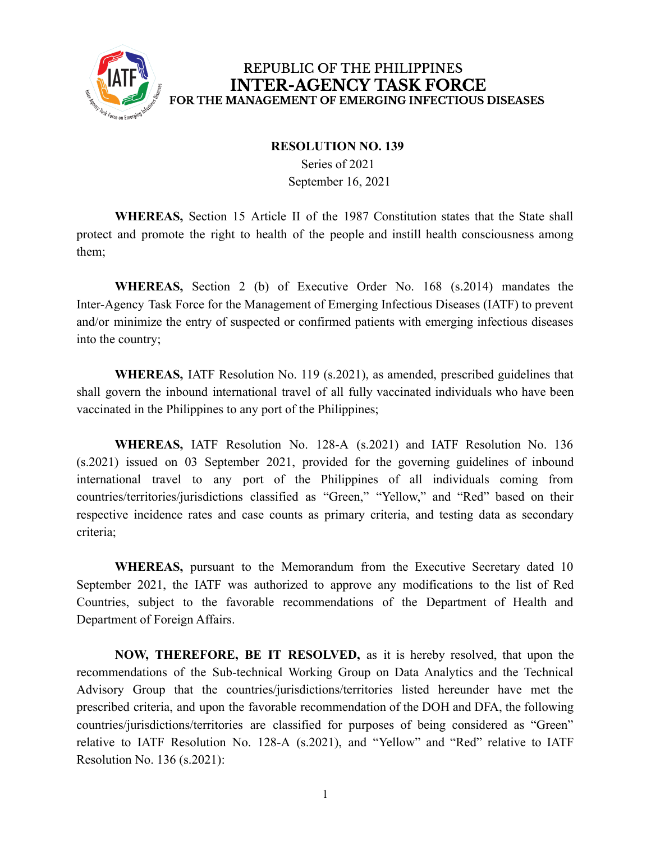

### REPUBLIC OF THE PHILIPPINES **INTER-AGENCY TASK FORCE** FOR THE MANAGEMENT OF EMERGING INFECTIOUS DISEASES

#### **RESOLUTION NO. 139**

Series of 2021 September 16, 2021

**WHEREAS,** Section 15 Article II of the 1987 Constitution states that the State shall protect and promote the right to health of the people and instill health consciousness among them;

**WHEREAS,** Section 2 (b) of Executive Order No. 168 (s.2014) mandates the Inter-Agency Task Force for the Management of Emerging Infectious Diseases (IATF) to prevent and/or minimize the entry of suspected or confirmed patients with emerging infectious diseases into the country;

**WHEREAS,** IATF Resolution No. 119 (s.2021), as amended, prescribed guidelines that shall govern the inbound international travel of all fully vaccinated individuals who have been vaccinated in the Philippines to any port of the Philippines;

**WHEREAS,** IATF Resolution No. 128-A (s.2021) and IATF Resolution No. 136 (s.2021) issued on 03 September 2021, provided for the governing guidelines of inbound international travel to any port of the Philippines of all individuals coming from countries/territories/jurisdictions classified as "Green," "Yellow," and "Red" based on their respective incidence rates and case counts as primary criteria, and testing data as secondary criteria;

**WHEREAS,** pursuant to the Memorandum from the Executive Secretary dated 10 September 2021, the IATF was authorized to approve any modifications to the list of Red Countries, subject to the favorable recommendations of the Department of Health and Department of Foreign Affairs.

**NOW, THEREFORE, BE IT RESOLVED,** as it is hereby resolved, that upon the recommendations of the Sub-technical Working Group on Data Analytics and the Technical Advisory Group that the countries/jurisdictions/territories listed hereunder have met the prescribed criteria, and upon the favorable recommendation of the DOH and DFA, the following countries/jurisdictions/territories are classified for purposes of being considered as "Green" relative to IATF Resolution No. 128-A (s.2021), and "Yellow" and "Red" relative to IATF Resolution No. 136 (s.2021):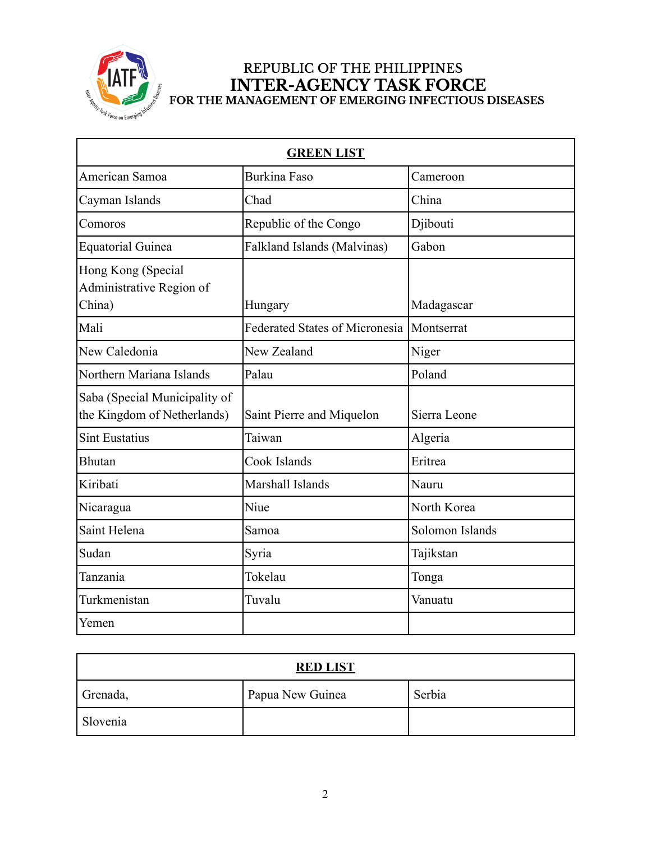

# REPUBLIC OF THE PHILIPPINES<br>INTER-AGENCY TASK FORCE<br>FOR THE MANAGEMENT OF EMERGING INFECTIOUS DISEASES

| <b>GREEN LIST</b>                                            |                                       |                 |  |
|--------------------------------------------------------------|---------------------------------------|-----------------|--|
| American Samoa                                               | <b>Burkina Faso</b>                   | Cameroon        |  |
| Cayman Islands                                               | Chad                                  | China           |  |
| Comoros                                                      | Republic of the Congo                 | Djibouti        |  |
| <b>Equatorial Guinea</b>                                     | Falkland Islands (Malvinas)           | Gabon           |  |
| Hong Kong (Special<br>Administrative Region of               |                                       |                 |  |
| China)                                                       | Hungary                               | Madagascar      |  |
| Mali                                                         | <b>Federated States of Micronesia</b> | Montserrat      |  |
| New Caledonia                                                | New Zealand                           | Niger           |  |
| Northern Mariana Islands                                     | Palau                                 | Poland          |  |
| Saba (Special Municipality of<br>the Kingdom of Netherlands) | Saint Pierre and Miquelon             | Sierra Leone    |  |
| <b>Sint Eustatius</b>                                        | Taiwan                                | Algeria         |  |
| Bhutan                                                       | Cook Islands                          | Eritrea         |  |
| Kiribati                                                     | Marshall Islands                      | Nauru           |  |
| Nicaragua                                                    | Niue                                  | North Korea     |  |
| Saint Helena                                                 | Samoa                                 | Solomon Islands |  |
| Sudan                                                        | Syria                                 | Tajikstan       |  |
| Tanzania                                                     | Tokelau                               | Tonga           |  |
| Turkmenistan                                                 | Tuvalu                                | Vanuatu         |  |
| Yemen                                                        |                                       |                 |  |

| <b>RED LIST</b> |                  |        |  |
|-----------------|------------------|--------|--|
| Grenada,        | Papua New Guinea | Serbia |  |
| Slovenia        |                  |        |  |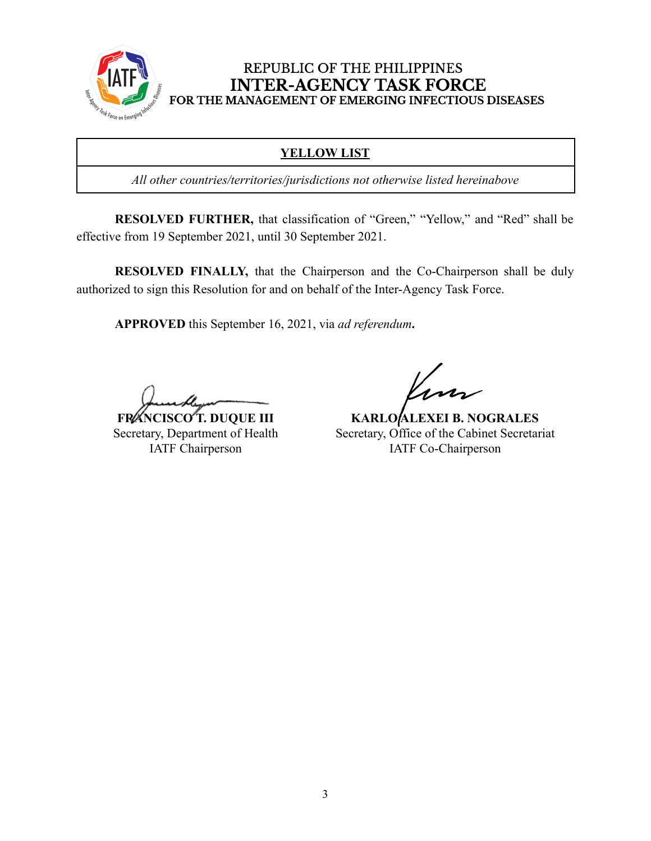

### REPUBLIC OF THE PHILIPPINES **INTER-AGENCY TASK FORCE** FOR THE MANAGEMENT OF EMERGING INFECTIOUS DISEASES

## **YELLOW LIST**

*All other countries/territories/jurisdictions not otherwise listed hereinabove*

**RESOLVED FURTHER,** that classification of "Green," "Yellow," and "Red" shall be effective from 19 September 2021, until 30 September 2021.

**RESOLVED FINALLY,** that the Chairperson and the Co-Chairperson shall be duly authorized to sign this Resolution for and on behalf of the Inter-Agency Task Force.

**APPROVED** this September 16, 2021, via *ad referendum***.**

**FRANCISCO T. DUQUE III** Secretary, Department of Health IATF Chairperson

**KARLO ALEXEI B. NOGRALES** Secretary, Office of the Cabinet Secretariat IATF Co-Chairperson